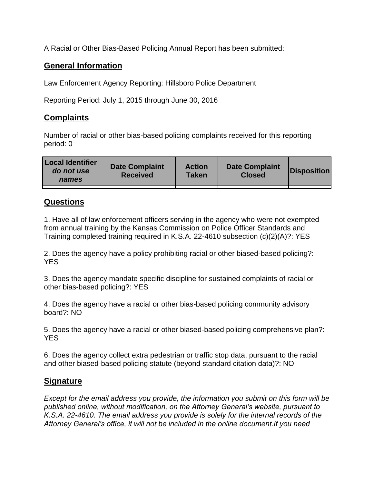A Racial or Other Bias-Based Policing Annual Report has been submitted:

## **General Information**

Law Enforcement Agency Reporting: Hillsboro Police Department

Reporting Period: July 1, 2015 through June 30, 2016

## **Complaints**

Number of racial or other bias-based policing complaints received for this reporting period: 0

| <b>Local Identifier</b><br>do not use<br>names | <b>Date Complaint</b><br><b>Received</b> | <b>Action</b><br><b>Taken</b> | <b>Date Complaint</b><br><b>Closed</b> | Disposition |
|------------------------------------------------|------------------------------------------|-------------------------------|----------------------------------------|-------------|
|                                                |                                          |                               |                                        |             |

## **Questions**

1. Have all of law enforcement officers serving in the agency who were not exempted from annual training by the Kansas Commission on Police Officer Standards and Training completed training required in K.S.A. 22-4610 subsection (c)(2)(A)?: YES

2. Does the agency have a policy prohibiting racial or other biased-based policing?: YES

3. Does the agency mandate specific discipline for sustained complaints of racial or other bias-based policing?: YES

4. Does the agency have a racial or other bias-based policing community advisory board?: NO

5. Does the agency have a racial or other biased-based policing comprehensive plan?: YES

6. Does the agency collect extra pedestrian or traffic stop data, pursuant to the racial and other biased-based policing statute (beyond standard citation data)?: NO

## **Signature**

*Except for the email address you provide, the information you submit on this form will be published online, without modification, on the Attorney General's website, pursuant to K.S.A. 22-4610. The email address you provide is solely for the internal records of the Attorney General's office, it will not be included in the online document.If you need*